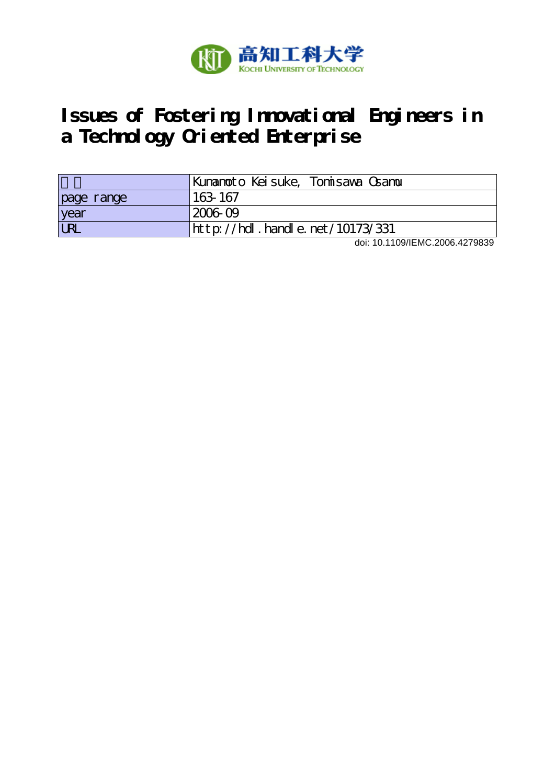

# **Issues of Fostering Innovational Engineers in a Technology Oriented Enterprise**

| Kunanoto Keisuke, Tonisawa Osanu |
|----------------------------------|
| 163 167                          |
| 2006-09                          |
| http://hdl.handle.net/10173/331  |
|                                  |

doi: 10.1109/IEMC.2006.4279839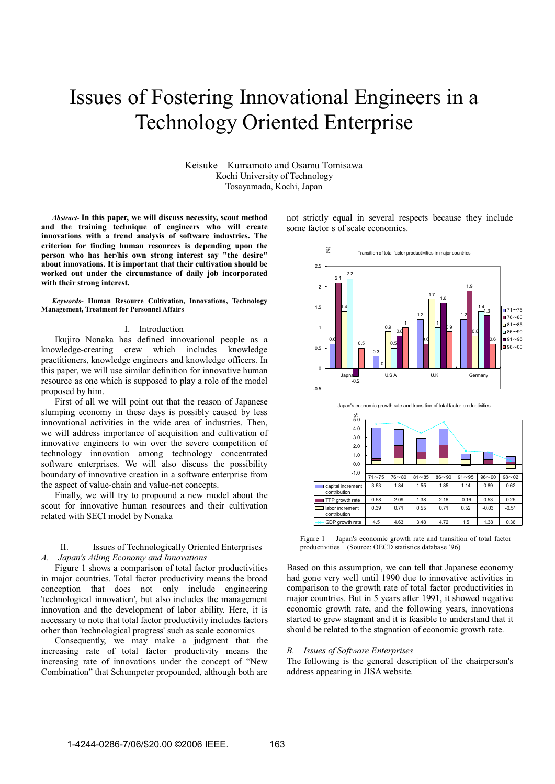# Issues of Fostering Innovational Engineers in a Technology Oriented Enterprise

Keisuke Kumamoto and Osamu Tomisawa Kochi University of Technology Tosayamada, Kochi, Japan

*Abstract-* **In this paper, we will discuss necessity, scout method and the training technique of engineers who will create innovations with a trend analysis of software industries. The criterion for finding human resources is depending upon the person who has her/his own strong interest say "the desire" about innovations. It is important that their cultivation should be worked out under the circumstance of daily job incorporated with their strong interest.** 

*Keywords-* **Human Resource Cultivation, Innovations, Technology Management, Treatment for Personnel Affairs** 

#### I. Introduction

Ikujiro Nonaka has defined innovational people as a knowledge-creating crew which includes knowledge practitioners, knowledge engineers and knowledge officers. In this paper, we will use similar definition for innovative human resource as one which is supposed to play a role of the model proposed by him.

First of all we will point out that the reason of Japanese slumping economy in these days is possibly caused by less innovational activities in the wide area of industries. Then, we will address importance of acquisition and cultivation of innovative engineers to win over the severe competition of technology innovation among technology concentrated software enterprises. We will also discuss the possibility boundary of innovative creation in a software enterprise from the aspect of value-chain and value-net concepts.

Finally, we will try to propound a new model about the scout for innovative human resources and their cultivation related with SECI model by Nonaka

## II. Issues of Technologically Oriented Enterprises *A. Japan's Ailing Economy and Innovations*

Figure 1 shows a comparison of total factor productivities in major countries. Total factor productivity means the broad conception that does not only include engineering 'technological innovation', but also includes the management innovation and the development of labor ability. Here, it is necessary to note that total factor productivity includes factors other than 'technological progress' such as scale economics

Consequently, we may make a judgment that the increasing rate of total factor productivity means the increasing rate of innovations under the concept of "New Combination" that Schumpeter propounded, although both are

not strictly equal in several respects because they include some factor s of scale economics.



Japan's economic growth rate and transition of total factor productivities

| $\frac{8}{5.0}$<br>4.0<br>3.0<br>2.0<br>1.0 |           |           |           |           |           |           |           |
|---------------------------------------------|-----------|-----------|-----------|-----------|-----------|-----------|-----------|
| 0.0                                         |           |           |           |           |           |           |           |
| $-1.0$                                      | $71 - 75$ | $76 - 80$ | $81 - 85$ | $86 - 90$ | $91 - 95$ | $96 - 00$ | $98 - 02$ |
| capital increment<br>contribution           | 3.53      | 1.84      | 1.55      | 1.85      | 1.14      | 0.89      | 0.62      |
| TFP growth rate                             | 0.58      | 2.09      | 1.38      | 2.16      | $-0.16$   | 0.53      | 0.25      |
| labor increment<br>contribution             | 0.39      | 0.71      | 0.55      | 0.71      | 0.52      | $-0.03$   | $-0.51$   |
| GDP growth rate<br>$\overline{\phantom{1}}$ | 4.5       | 4.63      | 3.48      | 4.72      | 1.5       | 1.38      | 0.36      |

Figure 1 Japan's economic growth rate and transition of total factor productivities (Source: OECD statistics database '96)

Based on this assumption, we can tell that Japanese economy had gone very well until 1990 due to innovative activities in comparison to the growth rate of total factor productivities in major countries. But in 5 years after 1991, it showed negative economic growth rate, and the following years, innovations started to grew stagnant and it is feasible to understand that it should be related to the stagnation of economic growth rate.

## *B. Issues of Software Enterprises*

The following is the general description of the chairperson's address appearing in JISA website.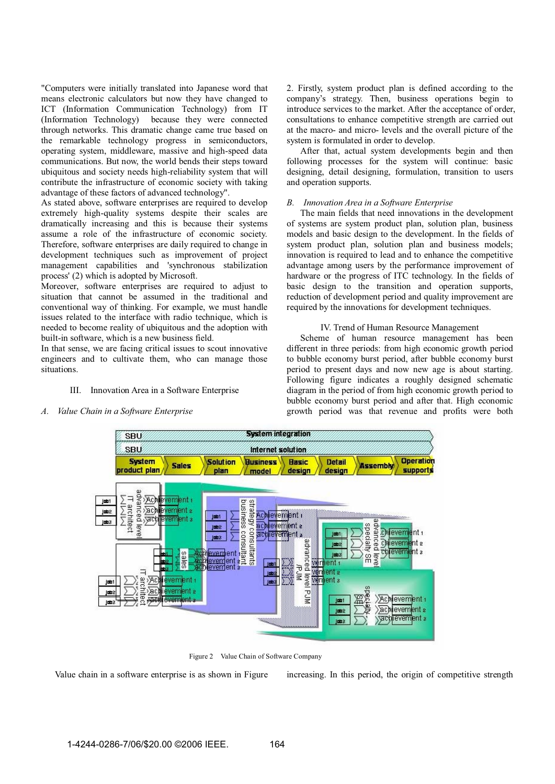"Computers were initially translated into Japanese word that means electronic calculators but now they have changed to ICT (Information Communication Technology) from IT (Information Technology) because they were connected through networks. This dramatic change came true based on the remarkable technology progress in semiconductors, operating system, middleware, massive and high-speed data communications. But now, the world bends their steps toward ubiquitous and society needs high-reliability system that will contribute the infrastructure of economic society with taking advantage of these factors of advanced technology".

As stated above, software enterprises are required to develop extremely high-quality systems despite their scales are dramatically increasing and this is because their systems assume a role of the infrastructure of economic society. Therefore, software enterprises are daily required to change in development techniques such as improvement of project management capabilities and 'synchronous stabilization process' (2) which is adopted by Microsoft.

Moreover, software enterprises are required to adjust to situation that cannot be assumed in the traditional and conventional way of thinking. For example, we must handle issues related to the interface with radio technique, which is needed to become reality of ubiquitous and the adoption with built-in software, which is a new business field.

In that sense, we are facing critical issues to scout innovative engineers and to cultivate them, who can manage those situations.

### III. Innovation Area in a Software Enterprise

### *A. Value Chain in a Software Enterprise*

2. Firstly, system product plan is defined according to the company's strategy. Then, business operations begin to introduce services to the market. After the acceptance of order, consultations to enhance competitive strength are carried out at the macro- and micro- levels and the overall picture of the system is formulated in order to develop.

After that, actual system developments begin and then following processes for the system will continue: basic designing, detail designing, formulation, transition to users and operation supports.

#### *B. Innovation Area in a Software Enterprise*

The main fields that need innovations in the development of systems are system product plan, solution plan, business models and basic design to the development. In the fields of system product plan, solution plan and business models; innovation is required to lead and to enhance the competitive advantage among users by the performance improvement of hardware or the progress of ITC technology. In the fields of basic design to the transition and operation supports, reduction of development period and quality improvement are required by the innovations for development techniques.

### IV. Trend of Human Resource Management

Scheme of human resource management has been different in three periods: from high economic growth period to bubble economy burst period, after bubble economy burst period to present days and now new age is about starting. Following figure indicates a roughly designed schematic diagram in the period of from high economic growth period to bubble economy burst period and after that. High economic growth period was that revenue and profits were both



Figure 2 Value Chain of Software Company

Value chain in a software enterprise is as shown in Figure increasing. In this period, the origin of competitive strength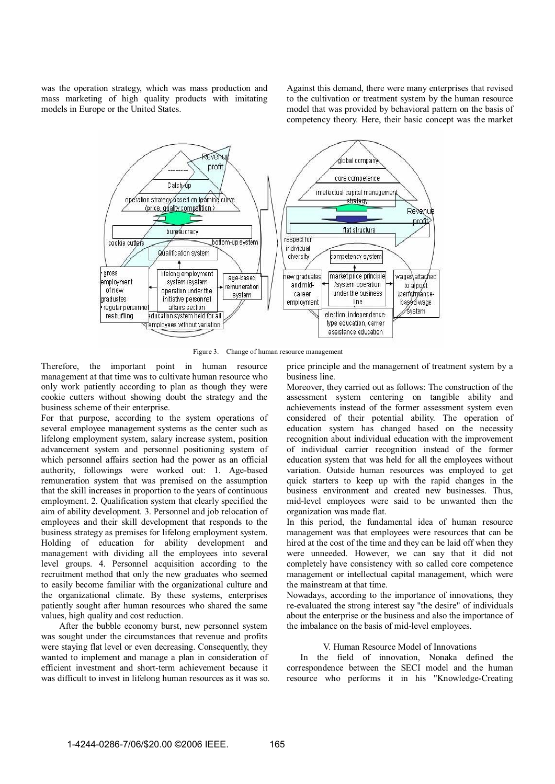was the operation strategy, which was mass production and mass marketing of high quality products with imitating models in Europe or the United States.

Against this demand, there were many enterprises that revised to the cultivation or treatment system by the human resource model that was provided by behavioral pattern on the basis of competency theory. Here, their basic concept was the market



Figure 3. Change of human resource management

Therefore, the important point in human resource management at that time was to cultivate human resource who only work patiently according to plan as though they were cookie cutters without showing doubt the strategy and the business scheme of their enterprise.

For that purpose, according to the system operations of several employee management systems as the center such as lifelong employment system, salary increase system, position advancement system and personnel positioning system of which personnel affairs section had the power as an official authority, followings were worked out: 1. Age-based remuneration system that was premised on the assumption that the skill increases in proportion to the years of continuous employment. 2. Qualification system that clearly specified the aim of ability development. 3. Personnel and job relocation of employees and their skill development that responds to the business strategy as premises for lifelong employment system. Holding of education for ability development and management with dividing all the employees into several level groups. 4. Personnel acquisition according to the recruitment method that only the new graduates who seemed to easily become familiar with the organizational culture and the organizational climate. By these systems, enterprises patiently sought after human resources who shared the same values, high quality and cost reduction.

After the bubble economy burst, new personnel system was sought under the circumstances that revenue and profits were staying flat level or even decreasing. Consequently, they wanted to implement and manage a plan in consideration of efficient investment and short-term achievement because it was difficult to invest in lifelong human resources as it was so. price principle and the management of treatment system by a business line.

Moreover, they carried out as follows: The construction of the assessment system centering on tangible ability and achievements instead of the former assessment system even considered of their potential ability. The operation of education system has changed based on the necessity recognition about individual education with the improvement of individual carrier recognition instead of the former education system that was held for all the employees without variation. Outside human resources was employed to get quick starters to keep up with the rapid changes in the business environment and created new businesses. Thus, mid-level employees were said to be unwanted then the organization was made flat.

In this period, the fundamental idea of human resource management was that employees were resources that can be hired at the cost of the time and they can be laid off when they were unneeded. However, we can say that it did not completely have consistency with so called core competence management or intellectual capital management, which were the mainstream at that time.

Nowadays, according to the importance of innovations, they re-evaluated the strong interest say "the desire" of individuals about the enterprise or the business and also the importance of the imbalance on the basis of mid-level employees.

## V. Human Resource Model of Innovations

In the field of innovation, Nonaka defined the correspondence between the SECI model and the human resource who performs it in his "Knowledge-Creating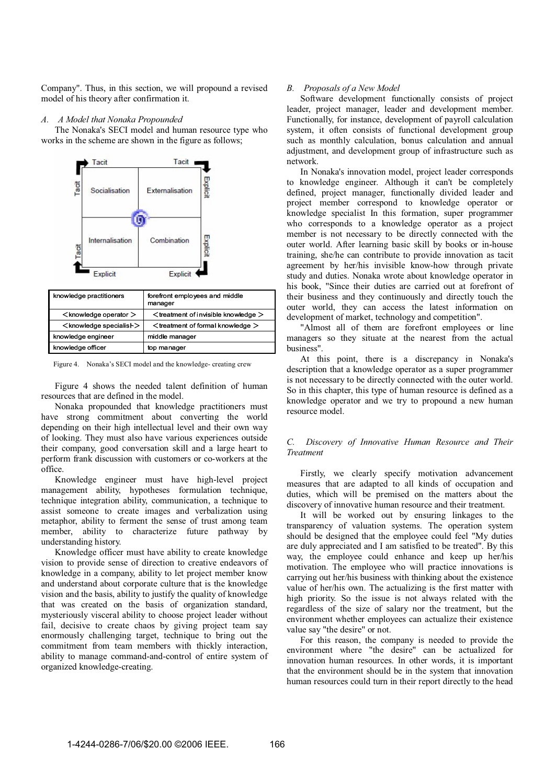Company". Thus, in this section, we will propound a revised model of his theory after confirmation it.

## *A. A Model that Nonaka Propounded*

The Nonaka's SECI model and human resource type who works in the scheme are shown in the figure as follows;



| knowledge practitioners        | forefront employees and middle<br>manager   |
|--------------------------------|---------------------------------------------|
| $\leq$ knowledge operator $>$  | $\leq$ treatment of invisible knowledge $>$ |
| $\le$ knowledge specialish $>$ | $\leq$ treatment of formal knowledge $>$    |
| knowledge engineer             | middle manager                              |
| knowledge officer              | top manager                                 |

Figure 4. Nonaka's SECI model and the knowledge- creating crew

Figure 4 shows the needed talent definition of human resources that are defined in the model.

Nonaka propounded that knowledge practitioners must have strong commitment about converting the world depending on their high intellectual level and their own way of looking. They must also have various experiences outside their company, good conversation skill and a large heart to perform frank discussion with customers or co-workers at the office.

Knowledge engineer must have high-level project management ability, hypotheses formulation technique, technique integration ability, communication, a technique to assist someone to create images and verbalization using metaphor, ability to ferment the sense of trust among team member, ability to characterize future pathway by understanding history.

Knowledge officer must have ability to create knowledge vision to provide sense of direction to creative endeavors of knowledge in a company, ability to let project member know and understand about corporate culture that is the knowledge vision and the basis, ability to justify the quality of knowledge that was created on the basis of organization standard, mysteriously visceral ability to choose project leader without fail, decisive to create chaos by giving project team say enormously challenging target, technique to bring out the commitment from team members with thickly interaction, ability to manage command-and-control of entire system of organized knowledge-creating.

## *B. Proposals of a New Model*

Software development functionally consists of project leader, project manager, leader and development member. Functionally, for instance, development of payroll calculation system, it often consists of functional development group such as monthly calculation, bonus calculation and annual adjustment, and development group of infrastructure such as network.

In Nonaka's innovation model, project leader corresponds to knowledge engineer. Although it can't be completely defined, project manager, functionally divided leader and project member correspond to knowledge operator or knowledge specialist In this formation, super programmer who corresponds to a knowledge operator as a project member is not necessary to be directly connected with the outer world. After learning basic skill by books or in-house training, she/he can contribute to provide innovation as tacit agreement by her/his invisible know-how through private study and duties. Nonaka wrote about knowledge operator in his book, "Since their duties are carried out at forefront of their business and they continuously and directly touch the outer world, they can access the latest information on development of market, technology and competition".

"Almost all of them are forefront employees or line managers so they situate at the nearest from the actual business".

At this point, there is a discrepancy in Nonaka's description that a knowledge operator as a super programmer is not necessary to be directly connected with the outer world. So in this chapter, this type of human resource is defined as a knowledge operator and we try to propound a new human resource model.

## *C. Discovery of Innovative Human Resource and Their Treatment*

Firstly, we clearly specify motivation advancement measures that are adapted to all kinds of occupation and duties, which will be premised on the matters about the discovery of innovative human resource and their treatment.

It will be worked out by ensuring linkages to the transparency of valuation systems. The operation system should be designed that the employee could feel "My duties are duly appreciated and I am satisfied to be treated". By this way, the employee could enhance and keep up her/his motivation. The employee who will practice innovations is carrying out her/his business with thinking about the existence value of her/his own. The actualizing is the first matter with high priority. So the issue is not always related with the regardless of the size of salary nor the treatment, but the environment whether employees can actualize their existence value say "the desire" or not.

For this reason, the company is needed to provide the environment where "the desire" can be actualized for innovation human resources. In other words, it is important that the environment should be in the system that innovation human resources could turn in their report directly to the head